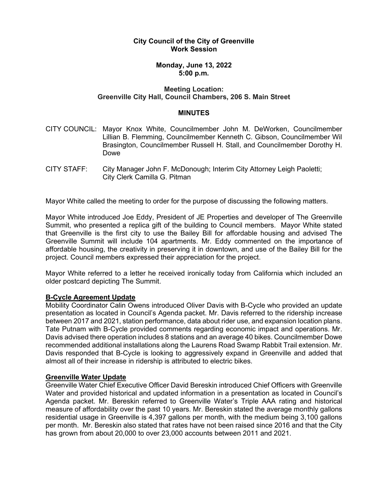# **City Council of the City of Greenville Work Session**

# **Monday, June 13, 2022 5:00 p.m.**

# **Meeting Location: Greenville City Hall, Council Chambers, 206 S. Main Street**

#### **MINUTES**

- CITY COUNCIL: Mayor Knox White, Councilmember John M. DeWorken, Councilmember Lillian B. Flemming, Councilmember Kenneth C. Gibson, Councilmember Wil Brasington, Councilmember Russell H. Stall, and Councilmember Dorothy H. Dowe
- CITY STAFF: City Manager John F. McDonough; Interim City Attorney Leigh Paoletti; City Clerk Camilla G. Pitman

Mayor White called the meeting to order for the purpose of discussing the following matters.

Mayor White introduced Joe Eddy, President of JE Properties and developer of The Greenville Summit, who presented a replica gift of the building to Council members. Mayor White stated that Greenville is the first city to use the Bailey Bill for affordable housing and advised The Greenville Summit will include 104 apartments. Mr. Eddy commented on the importance of affordable housing, the creativity in preserving it in downtown, and use of the Bailey Bill for the project. Council members expressed their appreciation for the project.

Mayor White referred to a letter he received ironically today from California which included an older postcard depicting The Summit.

## **B-Cycle Agreement Update**

Mobility Coordinator Calin Owens introduced Oliver Davis with B-Cycle who provided an update presentation as located in Council's Agenda packet. Mr. Davis referred to the ridership increase between 2017 and 2021, station performance, data about rider use, and expansion location plans. Tate Putnam with B-Cycle provided comments regarding economic impact and operations. Mr. Davis advised there operation includes 8 stations and an average 40 bikes. Councilmember Dowe recommended additional installations along the Laurens Road Swamp Rabbit Trail extension. Mr. Davis responded that B-Cycle is looking to aggressively expand in Greenville and added that almost all of their increase in ridership is attributed to electric bikes.

## **Greenville Water Update**

Greenville Water Chief Executive Officer David Bereskin introduced Chief Officers with Greenville Water and provided historical and updated information in a presentation as located in Council's Agenda packet. Mr. Bereskin referred to Greenville Water's Triple AAA rating and historical measure of affordability over the past 10 years. Mr. Bereskin stated the average monthly gallons residential usage in Greenville is 4,397 gallons per month, with the medium being 3,100 gallons per month. Mr. Bereskin also stated that rates have not been raised since 2016 and that the City has grown from about 20,000 to over 23,000 accounts between 2011 and 2021.